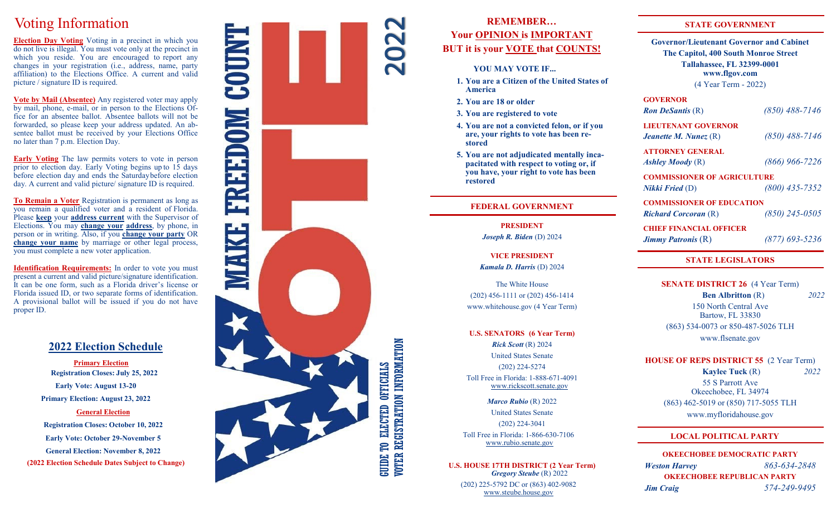# Voting Information

**Election Day Voting** Voting in a precinct in which you do not live is illegal. You must vote only at the precinct in which you reside. You are encouraged to report any changes in your registration (i.e., address, name, party affiliation) to the Elections Office. A current and valid picture / signature ID is required.

**Vote by Mail (Absentee)** Any registered voter may apply by mail, phone, e -mail, or in person to the Elections Office for an absentee ballot. Absentee ballots will not be forwarded, so please keep your address updated. An absentee ballot must be received by your Elections Office no later than 7 p.m. Election Day.

**Early Voting** The law permits voters to vote in person prior to election day. Early Voting begins up to 15 days before election day and ends the Saturdaybefore election day. A current and valid picture/ signature ID is required.

**To Remain a Voter** Registration is permanent as long as you remain a qualified voter and a resident of Florida. Please **keep** your **address current** with the Supervisor of Elections. You may **change your address**, by phone, in person or in writing. Also, if you **change your party** OR **change your name** by marriage or other legal process, you must complete a new voter application.

**Identification Requirements:** In order to vote you must present a current and valid picture/signature identification. It can be one form, such as a Florida driver 's license or Florida issued ID, or two separate forms of identification. A provisional ballot will be issued if you do not have proper ID.

# **2022 Election Schedule**

**Primary Election Registration Closes: July 25, 2022 Early Vote: August 13 -20 Primary Election: August 23, 2022 General Election Registration Closes: October 10, 2022**

**Early Vote: October 29 -November 5**

**General Election: November 8, 2022**

**(2022 Election Schedule Dates Subject to Change)**



# **REMEMBER … Your OPINION is IMPORTANT BUT it is your VOTE that COUNTS!**

#### **YOU MAY VOTE IF...**

- **1. You are a Citizen of the United States of America**
- **2. You are 18 or older**
- **3. You are registered to vote**
- **4. You are not a convicted felon, or if you are, your rights to vote has been restored**
- **5. You are not adjudicated mentally incapacitated with respect to voting or, if you have, your right to vote has been restored**

## **FEDERAL GOVERNMENT**

**PRESIDENT** *Joseph R. Biden* (D) 2024

**VICE PRESIDENT** *Kamala D. Harris* (D) 2024

The White House (202) 456 -1111 or (202) 456 -1414 www.whitehouse.gov (4 Year Term)

**U.S. SENATORS (6 Year Term)** *Rick Scott* (R) 2024 United States Senate (202) 224 -5274 Toll Free in Florida: 1 -888 -671 -4091 www.rickscott.senate.gov

> *Marco Rubio* (R) 2022 United States Senate (202) 224 -3041

Toll Free in Florida: 1 -866 -630 -7106 www.rubio.senate.gov

**U.S. HOUSE 17TH DISTRICT (2 Year Term)**  *Gregory Steube* (R) 2022

(202) 225 -5792 DC or (863) 402 -9082 www.steube.house.gov

# **STATE GOVERNMENT**

**Governor/Lieutenant Governor and Cabinet The Capitol, 400 South Monroe Street Tallahassee, FL 32399 -0001 www.flgov.com**

(4 Year Term - 2022)

# **GOVERNOR**

*Ron DeSantis* (R)

*-7146*

**LIEUTENANT GOVERNOR**

*Jeanette M. Nunez* (R)

*-7146*

**ATTORNEY GENERAL** *Ashley Moody* (R)

*-7226*

**COMMISSIONER OF AGRICULTURE** *Nikki Fried* (D) *(800) 435*

*-7352*

**COMMISSIONER OF EDUCATION**

*Richard Corcoran* (R)

*-0505*

**CHIEF FINANCIAL OFFICER** *Jimmy Patronis*  $(R)$ 

*-5236*

# **STATE LEGISLATORS**

**SENATE DISTRICT 26** (4 Year Term)  **Ben Albritton** (R) *2022* 150 North Central Ave Bartow, FL 33830 (863) 534 -0073 or 850 -487 -5026 TLH www.flsenate.gov

**HOUSE OF REPS DISTRICT 55** (2 Year Term)  **Kaylee Tuck** (R) *2022*

55 S Parrott Ave Okeechobee, FL 34974 (863) 462 -5019 or (850) 717 -5055 TLH www.myfloridahouse.gov

# **LOCAL POLITICAL PARTY**

**OKEECHOBEE DEMOCRATIC PARTY** *Weston Harvey -634 -2848* **OKEECHOBEE REPUBLICAN PARTY** *Jim Craig -249 -9495*